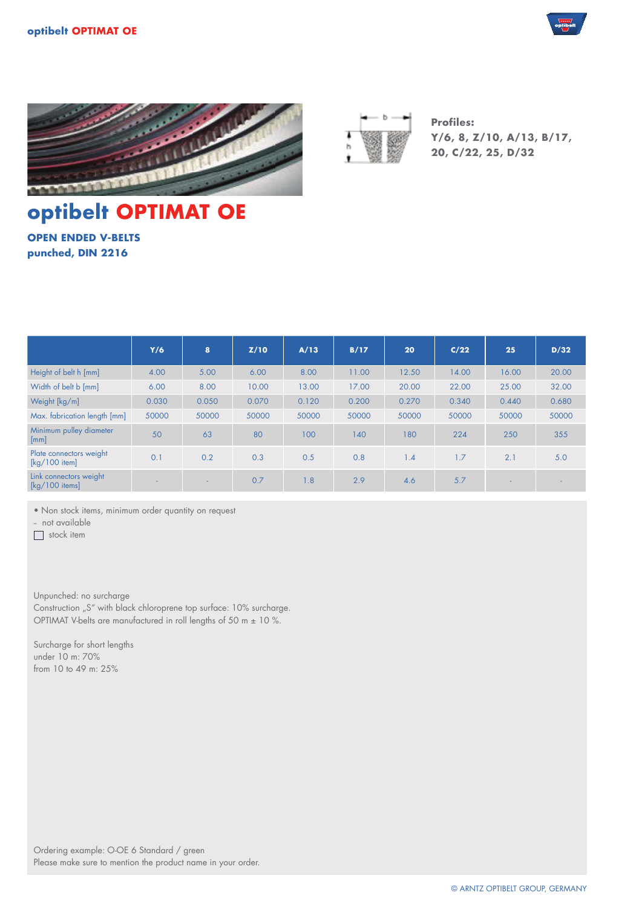





**Profiles: Y/6, 8, Z/10, A/13, B/17, 20, C/22, 25, D/32**

# **optibelt OPTIMAT OE**

**OPEN ENDED V-BELTS punched, DIN 2216**

|                                                                | Y/6   | 8     | Z/10  | A/13  | B/17  | 20    | C/22  | 25    | D/32  |
|----------------------------------------------------------------|-------|-------|-------|-------|-------|-------|-------|-------|-------|
| Height of belt h [mm]                                          | 4.00  | 5.00  | 6.00  | 8.00  | 11.00 | 12.50 | 14.00 | 16.00 | 20.00 |
| Width of belt b [mm]                                           | 6.00  | 8.00  | 10.00 | 13.00 | 17.00 | 20.00 | 22.00 | 25.00 | 32.00 |
| Weight [kg/m]                                                  | 0.030 | 0.050 | 0.070 | 0.120 | 0.200 | 0.270 | 0.340 | 0.440 | 0.680 |
| Max. fabrication length [mm]                                   | 50000 | 50000 | 50000 | 50000 | 50000 | 50000 | 50000 | 50000 | 50000 |
| Minimum pulley diameter<br>[mm]                                | 50    | 63    | 80    | 100   | 140   | 180   | 224   | 250   | 355   |
| Plate connectors weight<br>$\lceil \frac{kg}{100} \rceil$      | 0.1   | 0.2   | 0.3   | 0.5   | 0.8   | 1.4   | 1.7   | 2.1   | 5.0   |
| Link connectors weight<br>$\lceil \frac{kg}{100} \rceil$ items | ۰.    | ٠     | 0.7   | 1.8   | 2.9   | 4.6   | 5.7   | . .   |       |

• Non stock items, minimum order quantity on request

- not available

stock item

Unpunched: no surcharge

Construction "S" with black chloroprene top surface: 10% surcharge. OPTIMAT V-belts are manufactured in roll lengths of 50 m ± 10 %.

Surcharge for short lengths under 10 m: 70% from 10 to 49 m: 25%

Ordering example: O-OE 6 Standard / green Please make sure to mention the product name in your order.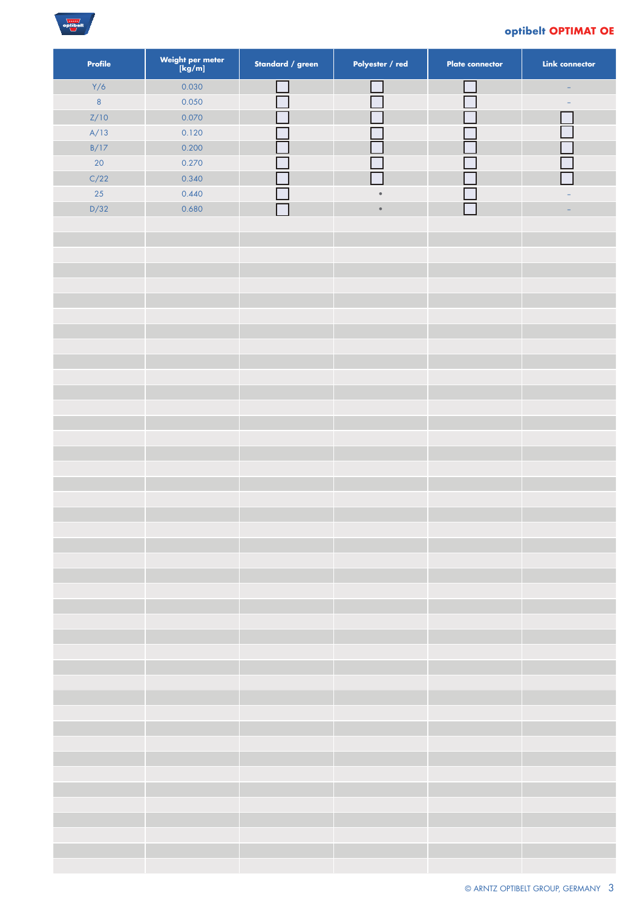

### **optibelt OPTIMAT OE**

| <b>Profile</b> | Weight per meter<br>[kg/m] | Standard / green | Polyester / red | <b>Plate connector</b> | <b>Link connector</b> |
|----------------|----------------------------|------------------|-----------------|------------------------|-----------------------|
| Y/6            | 0.030                      |                  |                 |                        |                       |
| $\bf 8$        | 0.050                      |                  |                 |                        |                       |
| Z/10           | 0.070                      |                  |                 |                        |                       |
| A/13           | 0.120                      |                  |                 |                        |                       |
| B/17           | 0.200                      |                  |                 |                        |                       |
| 20             | 0.270                      |                  |                 |                        |                       |
| C/22           | 0.340                      |                  |                 |                        |                       |
| 25             | 0.440                      |                  | $\bullet$       |                        |                       |
| D/32           | 0.680                      |                  | $\bullet$       |                        |                       |
|                |                            |                  |                 |                        |                       |
|                |                            |                  |                 |                        |                       |
|                |                            |                  |                 |                        |                       |
|                |                            |                  |                 |                        |                       |
|                |                            |                  |                 |                        |                       |
|                |                            |                  |                 |                        |                       |
|                |                            |                  |                 |                        |                       |
|                |                            |                  |                 |                        |                       |
|                |                            |                  |                 |                        |                       |
|                |                            |                  |                 |                        |                       |
|                |                            |                  |                 |                        |                       |
|                |                            |                  |                 |                        |                       |
|                |                            |                  |                 |                        |                       |
|                |                            |                  |                 |                        |                       |
|                |                            |                  |                 |                        |                       |
|                |                            |                  |                 |                        |                       |
|                |                            |                  |                 |                        |                       |
|                |                            |                  |                 |                        |                       |
|                |                            |                  |                 |                        |                       |
|                |                            |                  |                 |                        |                       |
|                |                            |                  |                 |                        |                       |
|                |                            |                  |                 |                        |                       |
|                |                            |                  |                 |                        |                       |
|                |                            |                  |                 |                        |                       |
|                |                            |                  |                 |                        |                       |
|                |                            |                  |                 |                        |                       |
|                |                            |                  |                 |                        |                       |
|                |                            |                  |                 |                        |                       |
|                |                            |                  |                 |                        |                       |
|                |                            |                  |                 |                        |                       |
|                |                            |                  |                 |                        |                       |
|                |                            |                  |                 |                        |                       |
|                |                            |                  |                 |                        |                       |
|                |                            |                  |                 |                        |                       |
|                |                            |                  |                 |                        |                       |
|                |                            |                  |                 |                        |                       |
|                |                            |                  |                 |                        |                       |
|                |                            |                  |                 |                        |                       |
|                |                            |                  |                 |                        |                       |
|                |                            |                  |                 |                        |                       |
|                |                            |                  |                 |                        |                       |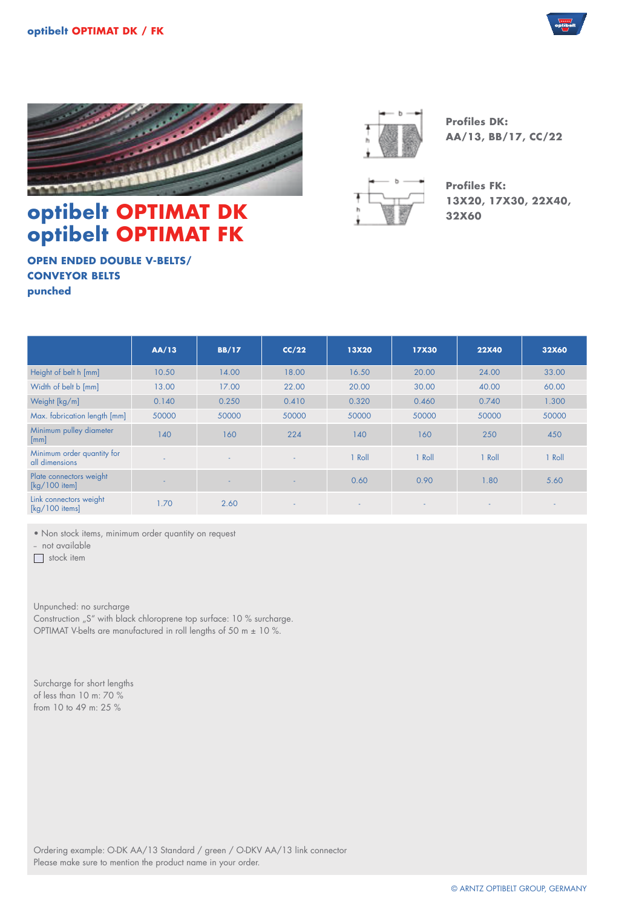



## **optibelt OPTIMAT DK optibelt OPTIMAT FK**

**Profiles DK: AA/13, BB/17, CC/22**



**Profiles FK: 13X20, 17X30, 22X40, 32X60**

**OPEN ENDED DOUBLE V-BELTS/ CONVEYOR BELTS punched**

|                                                           | AA/13 | <b>BB/17</b>             | CC/22                    | <b>13X20</b>   | <b>17X30</b>             | <b>22X40</b> | 32X60  |
|-----------------------------------------------------------|-------|--------------------------|--------------------------|----------------|--------------------------|--------------|--------|
| Height of belt h [mm]                                     | 10.50 | 14.00                    | 18.00                    | 16.50          | 20.00                    | 24.00        | 33.00  |
| Width of belt b [mm]                                      | 13.00 | 17.00                    | 22.00                    | 20.00          | 30.00                    | 40.00        | 60.00  |
| Weight [kg/m]                                             | 0.140 | 0.250                    | 0.410                    | 0.320          | 0.460                    | 0.740        | 1.300  |
| Max. fabrication length [mm]                              | 50000 | 50000                    | 50000                    | 50000          | 50000                    | 50000        | 50000  |
| Minimum pulley diameter<br>[mm]                           | 140   | 160                      | 224                      | 140            | 160                      | 250          | 450    |
| Minimum order quantity for<br>all dimensions              |       | $\overline{\phantom{0}}$ | $\sim$                   | Roll           | Roll                     | <b>Roll</b>  | 1 Roll |
| Plate connectors weight<br>$\lceil \frac{kg}{100} \rceil$ |       |                          | $\overline{\phantom{0}}$ | 0.60           | 0.90                     | 1.80         | 5.60   |
| Link connectors weight<br>$[kg/100$ items]                | 1.70  | 2.60                     | $\blacksquare$           | $\blacksquare$ | $\overline{\phantom{a}}$ |              |        |

• Non stock items, minimum order quantity on request

- not available

stock item

Unpunched: no surcharge Construction "S" with black chloroprene top surface: 10 % surcharge. OPTIMAT V-belts are manufactured in roll lengths of 50 m ± 10 %.

Surcharge for short lengths of less than 10 m: 70 % from 10 to 49 m: 25 %

Ordering example: O-DK AA/13 Standard / green / O-DKV AA/13 link connector Please make sure to mention the product name in your order.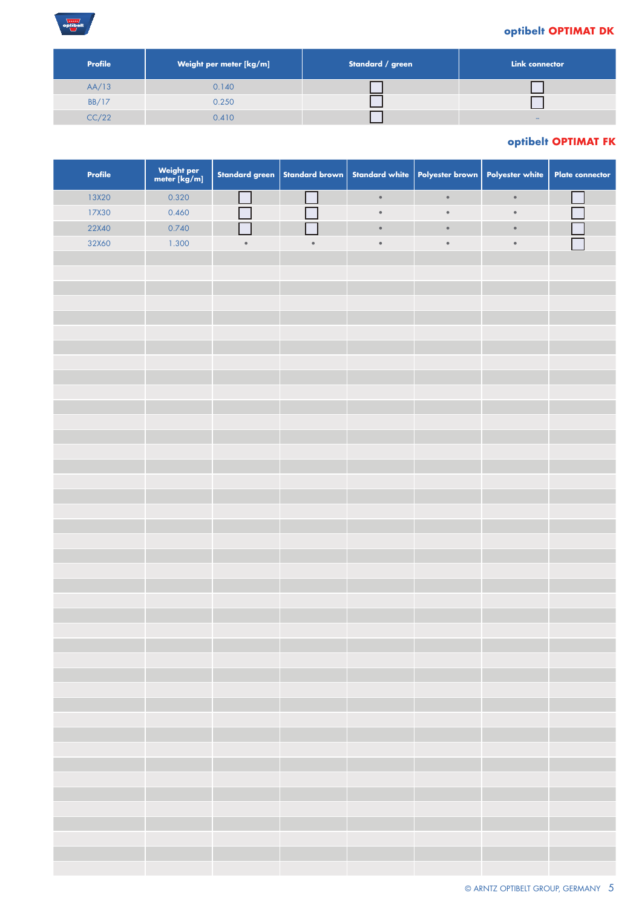## $\frac{\overline{\text{tum}}}{\text{optibel}}$

#### **optibelt OPTIMAT DK**

| <b>Profile</b> | Weight per meter [kg/m] | Standard / green | Link connector |
|----------------|-------------------------|------------------|----------------|
| AA/13          | 0.140                   |                  |                |
| <b>BB/17</b>   | 0.250                   |                  |                |
| CC/22          | 0.410                   |                  |                |

## **optibelt OPTIMAT FK**

| Profile | Weight per<br>meter [kg/m] |           | Standard green   Standard brown |           | Standard white Polyester brown | Polyester white | <b>Plate connector</b> |
|---------|----------------------------|-----------|---------------------------------|-----------|--------------------------------|-----------------|------------------------|
| 13X20   | 0.320                      |           |                                 | $\bullet$ | $\bullet$                      | $\bullet$       |                        |
| 17X30   | 0.460                      |           |                                 | $\bullet$ | $\bullet$                      | $\bullet$       |                        |
| 22X40   | 0.740                      |           |                                 | $\bullet$ | $\bullet$                      | $\bullet$       |                        |
| 32X60   | 1.300                      | $\bullet$ | $\bullet$                       | $\bullet$ | $\bullet$                      | $\bullet$       |                        |
|         |                            |           |                                 |           |                                |                 |                        |
|         |                            |           |                                 |           |                                |                 |                        |
|         |                            |           |                                 |           |                                |                 |                        |
|         |                            |           |                                 |           |                                |                 |                        |
|         |                            |           |                                 |           |                                |                 |                        |
|         |                            |           |                                 |           |                                |                 |                        |
|         |                            |           |                                 |           |                                |                 |                        |
|         |                            |           |                                 |           |                                |                 |                        |
|         |                            |           |                                 |           |                                |                 |                        |
|         |                            |           |                                 |           |                                |                 |                        |
|         |                            |           |                                 |           |                                |                 |                        |
|         |                            |           |                                 |           |                                |                 |                        |
|         |                            |           |                                 |           |                                |                 |                        |
|         |                            |           |                                 |           |                                |                 |                        |
|         |                            |           |                                 |           |                                |                 |                        |
|         |                            |           |                                 |           |                                |                 |                        |
|         |                            |           |                                 |           |                                |                 |                        |
|         |                            |           |                                 |           |                                |                 |                        |
|         |                            |           |                                 |           |                                |                 |                        |
|         |                            |           |                                 |           |                                |                 |                        |
|         |                            |           |                                 |           |                                |                 |                        |
|         |                            |           |                                 |           |                                |                 |                        |
|         |                            |           |                                 |           |                                |                 |                        |
|         |                            |           |                                 |           |                                |                 |                        |
|         |                            |           |                                 |           |                                |                 |                        |
|         |                            |           |                                 |           |                                |                 |                        |
|         |                            |           |                                 |           |                                |                 |                        |
|         |                            |           |                                 |           |                                |                 |                        |
|         |                            |           |                                 |           |                                |                 |                        |
|         |                            |           |                                 |           |                                |                 |                        |
|         |                            |           |                                 |           |                                |                 |                        |
|         |                            |           |                                 |           |                                |                 |                        |
|         |                            |           |                                 |           |                                |                 |                        |
|         |                            |           |                                 |           |                                |                 |                        |
|         |                            |           |                                 |           |                                |                 |                        |
|         |                            |           |                                 |           |                                |                 |                        |
|         |                            |           |                                 |           |                                |                 |                        |
|         |                            |           |                                 |           |                                |                 |                        |
|         |                            |           |                                 |           |                                |                 |                        |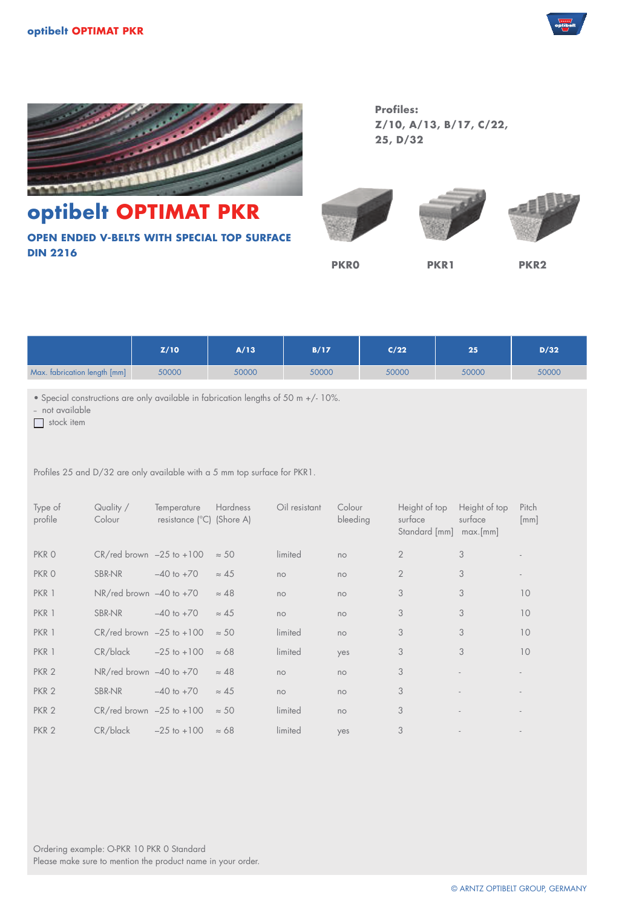



**optibelt OPTIMAT PKR OPEN ENDED V-BELTS WITH SPECIAL TOP SURFACE DIN 2216**

**Profiles: Z/10, A/13, B/17, C/22, 25, D/32**





**PKR0 PKR1 PKR2**

|                              | Z/10  | A/13  | B/17  | C/22  | 25    | D/32  |
|------------------------------|-------|-------|-------|-------|-------|-------|
| Max. fabrication length [mm] | 50000 | 50000 | 50000 | 50000 | 50000 | 50000 |

• Special constructions are only available in fabrication lengths of 50 m +/- 10%.

- not available

 $\Box$  stock item

Profiles 25 and D/32 are only available with a 5 mm top surface for PKR1.

| Type of<br>profile | Quality /<br>Colour                   | Temperature<br>resistance (°C) (Shore A) | <b>Hardness</b> | Oil resistant | Colour<br>bleeding | Height of top<br>surface<br>Standard [mm] | Height of top<br>surface<br>max>[mm] | Pitch<br>$\lceil mm \rceil$ |
|--------------------|---------------------------------------|------------------------------------------|-----------------|---------------|--------------------|-------------------------------------------|--------------------------------------|-----------------------------|
| PKR O              | $CR/\text{red}$ brown $-25$ to $+100$ |                                          | $\approx$ 50    | limited       | no                 | $\mathbf{2}$                              | 3                                    |                             |
| PKR O              | <b>SBR-NR</b>                         | $-40$ to $+70$                           | $\approx 45$    | no            | no                 | $\overline{2}$                            | 3                                    |                             |
| PKR 1              | $NR$ /red brown $-40$ to $+70$        |                                          | $\approx 48$    | no            | no                 | 3                                         | 3                                    | 10                          |
| PKR 1              | <b>SBR-NR</b>                         | $-40$ to $+70$                           | $\approx 45$    | no            | no                 | 3                                         | 3                                    | 10                          |
| PKR 1              | $CR$ /red brown $-25$ to $+100$       |                                          | $\approx$ 50    | limited       | no                 | 3                                         | 3                                    | 10                          |
| PKR 1              | $CR/b$ lack                           | $-25$ to $+100$                          | $\approx 68$    | limited       | yes                | 3                                         | 3                                    | 10                          |
| PKR <sub>2</sub>   | $NR/\text{red}$ brown $-40$ to $+70$  |                                          | $\approx 48$    | no            | no                 | 3                                         |                                      |                             |
| PKR <sub>2</sub>   | <b>SBR-NR</b>                         | $-40$ to $+70$                           | $\approx 45$    | no            | no                 | 3                                         |                                      |                             |
| PKR <sub>2</sub>   | $CR/red$ brown $-25$ to $+100$        |                                          | $\approx$ 50    | limited       | no                 | 3                                         |                                      |                             |
| PKR <sub>2</sub>   | $CR/b$ lack                           | $-25$ to $+100$                          | $\approx 68$    | limited       | yes                | 3                                         |                                      |                             |

Ordering example: O-PKR 10 PKR 0 Standard Please make sure to mention the product name in your order.